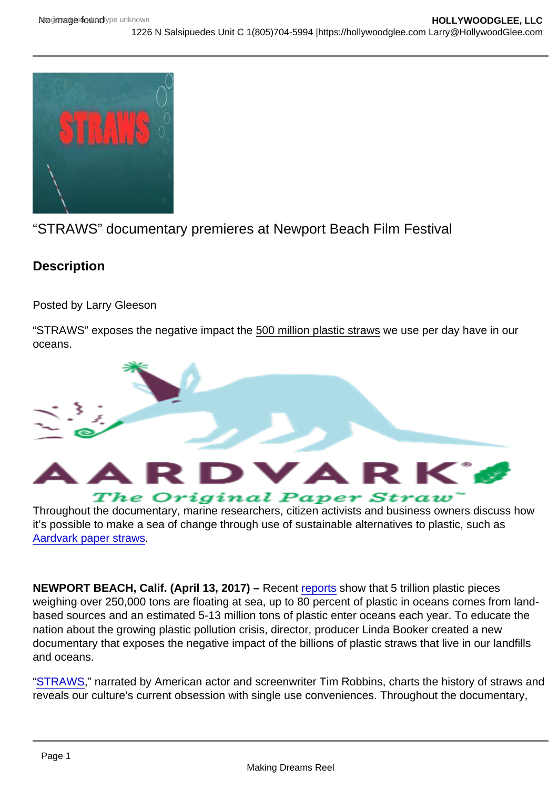## "STRAWS" documentary premieres at Newport Beach Film Festival

**Description** 

Posted by Larry Gleeson

"STRAWS" exposes the negative impact the 500 million plastic straws we use per day have in our oceans.

Throughout the documentary, marine researchers, citizen activists and business owners discuss how it's possible to make a sea of change through use of sustainable alternatives to plastic, such as [Aardvark paper straws](http://www.aardvarkstraws.com/).

NEWPORT BEACH, Calif. (April 13, 2017) – Recent [reports](http://www.beachapedia.org/Rise_Above_Plastics_Facts_and_Figures#cite_note-9) show that 5 trillion plastic pieces weighing over 250,000 tons are floating at sea, up to 80 percent of plastic in oceans comes from landbased sources and an estimated 5-13 million tons of plastic enter oceans each year. To educate the nation about the growing plastic pollution crisis, director, producer Linda Booker created a new documentary that exposes the negative impact of the billions of plastic straws that live in our landfills and oceans.

"[STRAWS](http://www.strawsfilm.com/)," narrated by American actor and screenwriter Tim Robbins, charts the history of straws and reveals our culture's current obsession with single use conveniences. Throughout the documentary,